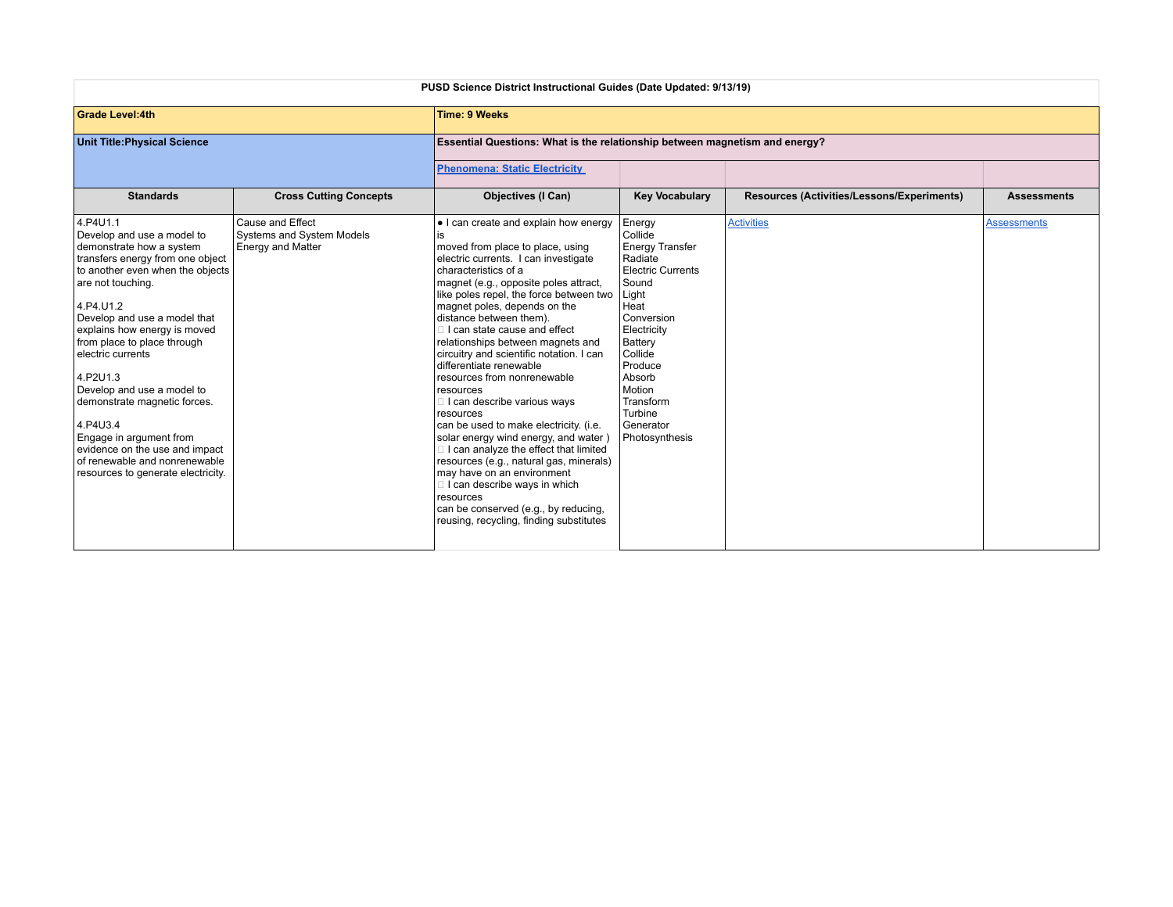| PUSD Science District Instructional Guides (Date Updated: 9/13/19)                                                                                                                                                                                                                                                                                                                                                                                                                                                         |                                                                           |                                                                                                                                                                                                                                                                                                                                                                                                                                                                                                                                                                                                                                                                                                                                                                                                                                                                        |                                                                                                                                                                                                                                                       |                                            |                    |  |
|----------------------------------------------------------------------------------------------------------------------------------------------------------------------------------------------------------------------------------------------------------------------------------------------------------------------------------------------------------------------------------------------------------------------------------------------------------------------------------------------------------------------------|---------------------------------------------------------------------------|------------------------------------------------------------------------------------------------------------------------------------------------------------------------------------------------------------------------------------------------------------------------------------------------------------------------------------------------------------------------------------------------------------------------------------------------------------------------------------------------------------------------------------------------------------------------------------------------------------------------------------------------------------------------------------------------------------------------------------------------------------------------------------------------------------------------------------------------------------------------|-------------------------------------------------------------------------------------------------------------------------------------------------------------------------------------------------------------------------------------------------------|--------------------------------------------|--------------------|--|
| <b>Grade Level:4th</b>                                                                                                                                                                                                                                                                                                                                                                                                                                                                                                     |                                                                           | <b>Time: 9 Weeks</b>                                                                                                                                                                                                                                                                                                                                                                                                                                                                                                                                                                                                                                                                                                                                                                                                                                                   |                                                                                                                                                                                                                                                       |                                            |                    |  |
| <b>Unit Title: Physical Science</b>                                                                                                                                                                                                                                                                                                                                                                                                                                                                                        |                                                                           | Essential Questions: What is the relationship between magnetism and energy?                                                                                                                                                                                                                                                                                                                                                                                                                                                                                                                                                                                                                                                                                                                                                                                            |                                                                                                                                                                                                                                                       |                                            |                    |  |
|                                                                                                                                                                                                                                                                                                                                                                                                                                                                                                                            |                                                                           | <b>Phenomena: Static Electricity</b>                                                                                                                                                                                                                                                                                                                                                                                                                                                                                                                                                                                                                                                                                                                                                                                                                                   |                                                                                                                                                                                                                                                       |                                            |                    |  |
| <b>Standards</b>                                                                                                                                                                                                                                                                                                                                                                                                                                                                                                           | <b>Cross Cutting Concepts</b>                                             | <b>Objectives (I Can)</b>                                                                                                                                                                                                                                                                                                                                                                                                                                                                                                                                                                                                                                                                                                                                                                                                                                              | <b>Key Vocabulary</b>                                                                                                                                                                                                                                 | Resources (Activities/Lessons/Experiments) | <b>Assessments</b> |  |
| 4.P4U1.1<br>Develop and use a model to<br>demonstrate how a system<br>transfers energy from one object<br>to another even when the objects<br>are not touching.<br>4.P4.U1.2<br>Develop and use a model that<br>explains how energy is moved<br>from place to place through<br>electric currents<br>4.P2U1.3<br>Develop and use a model to<br>demonstrate magnetic forces.<br>4.P4U3.4<br>Engage in argument from<br>evidence on the use and impact<br>of renewable and nonrenewable<br>resources to generate electricity. | Cause and Effect<br>Systems and System Models<br><b>Energy and Matter</b> | • I can create and explain how energy<br>is<br>moved from place to place, using<br>electric currents. I can investigate<br>characteristics of a<br>magnet (e.g., opposite poles attract,<br>like poles repel, the force between two<br>magnet poles, depends on the<br>distance between them).<br>I can state cause and effect<br>relationships between magnets and<br>circuitry and scientific notation. I can<br>differentiate renewable<br>resources from nonrenewable<br>resources<br>I can describe various ways<br>resources<br>can be used to make electricity. (i.e.<br>solar energy wind energy, and water)<br>I can analyze the effect that limited<br>resources (e.g., natural gas, minerals)<br>may have on an environment<br>I can describe ways in which<br>resources<br>can be conserved (e.g., by reducing,<br>reusing, recycling, finding substitutes | Energy<br>Collide<br><b>Energy Transfer</b><br>Radiate<br><b>Electric Currents</b><br>Sound<br>Light<br>Heat<br>Conversion<br>Electricity<br>Battery<br>Collide<br>Produce<br>Absorb<br>Motion<br>Transform<br>Turbine<br>Generator<br>Photosynthesis | <b>Activities</b>                          | <b>Assessments</b> |  |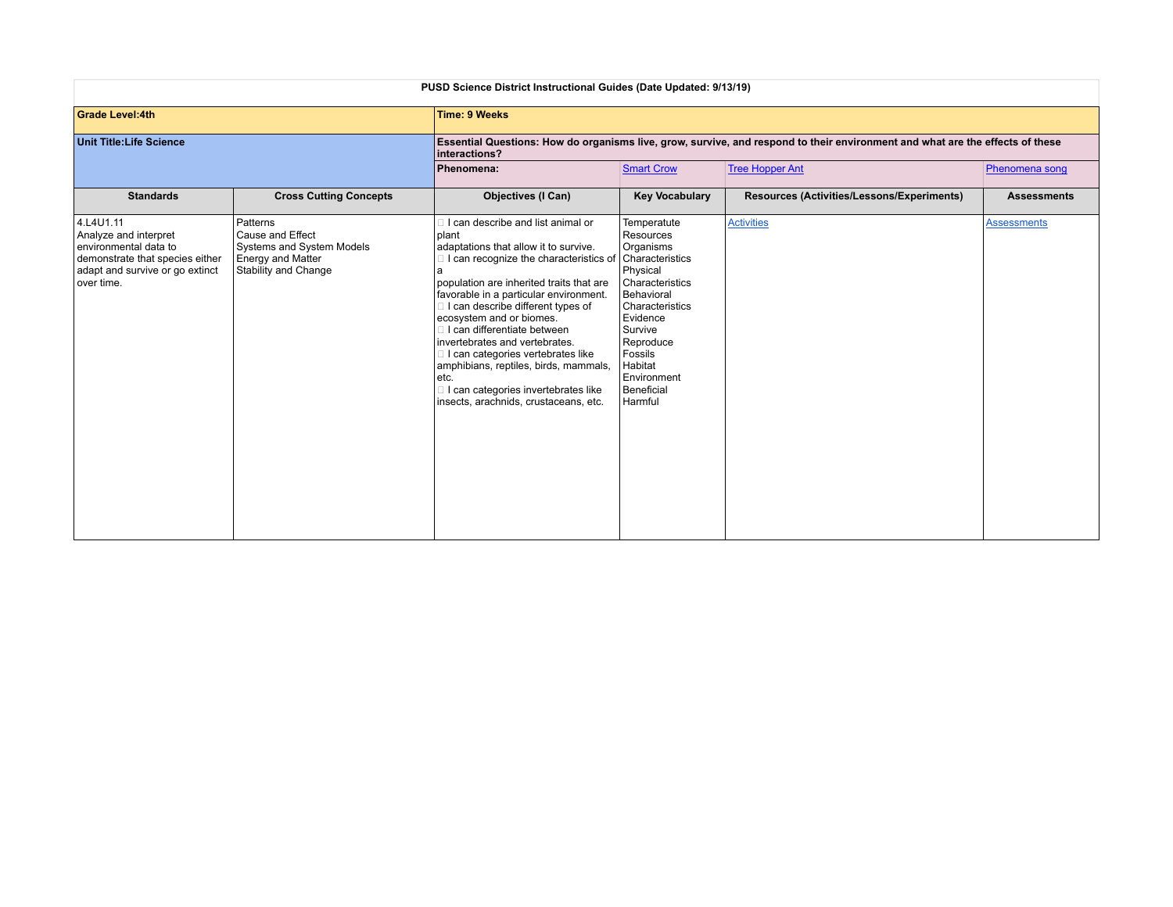| <b>PUSD Science District Instructional Guides (Date Updated: 9/13/19)</b>                                                                        |                                                                                                               |                                                                                                                                                                                                                                                                                                                                                                                                                                                                                                                                               |                                                                                                                                                                                                         |                                            |                    |  |
|--------------------------------------------------------------------------------------------------------------------------------------------------|---------------------------------------------------------------------------------------------------------------|-----------------------------------------------------------------------------------------------------------------------------------------------------------------------------------------------------------------------------------------------------------------------------------------------------------------------------------------------------------------------------------------------------------------------------------------------------------------------------------------------------------------------------------------------|---------------------------------------------------------------------------------------------------------------------------------------------------------------------------------------------------------|--------------------------------------------|--------------------|--|
| <b>Grade Level:4th</b>                                                                                                                           |                                                                                                               | <b>Time: 9 Weeks</b>                                                                                                                                                                                                                                                                                                                                                                                                                                                                                                                          |                                                                                                                                                                                                         |                                            |                    |  |
| <b>Unit Title: Life Science</b>                                                                                                                  |                                                                                                               | Essential Questions: How do organisms live, grow, survive, and respond to their environment and what are the effects of these<br>interactions?                                                                                                                                                                                                                                                                                                                                                                                                |                                                                                                                                                                                                         |                                            |                    |  |
|                                                                                                                                                  |                                                                                                               | Phenomena:                                                                                                                                                                                                                                                                                                                                                                                                                                                                                                                                    | <b>Smart Crow</b>                                                                                                                                                                                       | <b>Tree Hopper Ant</b>                     | Phenomena song     |  |
| <b>Standards</b>                                                                                                                                 | <b>Cross Cutting Concepts</b>                                                                                 | <b>Objectives (I Can)</b>                                                                                                                                                                                                                                                                                                                                                                                                                                                                                                                     | <b>Key Vocabulary</b>                                                                                                                                                                                   | Resources (Activities/Lessons/Experiments) | <b>Assessments</b> |  |
| 4.L4U1.11<br>Analyze and interpret<br>environmental data to<br>demonstrate that species either<br>adapt and survive or go extinct<br>lover time. | Patterns<br>Cause and Effect<br>Systems and System Models<br><b>Energy and Matter</b><br>Stability and Change | I can describe and list animal or<br>plant<br>adaptations that allow it to survive.<br>□ I can recognize the characteristics of Characteristics<br>population are inherited traits that are<br>favorable in a particular environment.<br>I can describe different types of<br>ecosystem and or biomes.<br>I can differentiate between<br>invertebrates and vertebrates.<br>I can categories vertebrates like<br>amphibians, reptiles, birds, mammals,<br>etc.<br>I can categories invertebrates like<br>insects, arachnids, crustaceans, etc. | Temperatute<br>Resources<br>Organisms<br>Physical<br>Characteristics<br>Behavioral<br>Characteristics<br>Evidence<br>Survive<br>Reproduce<br>Fossils<br>Habitat<br>Environment<br>Beneficial<br>Harmful | <b>Activities</b>                          | <b>Assessments</b> |  |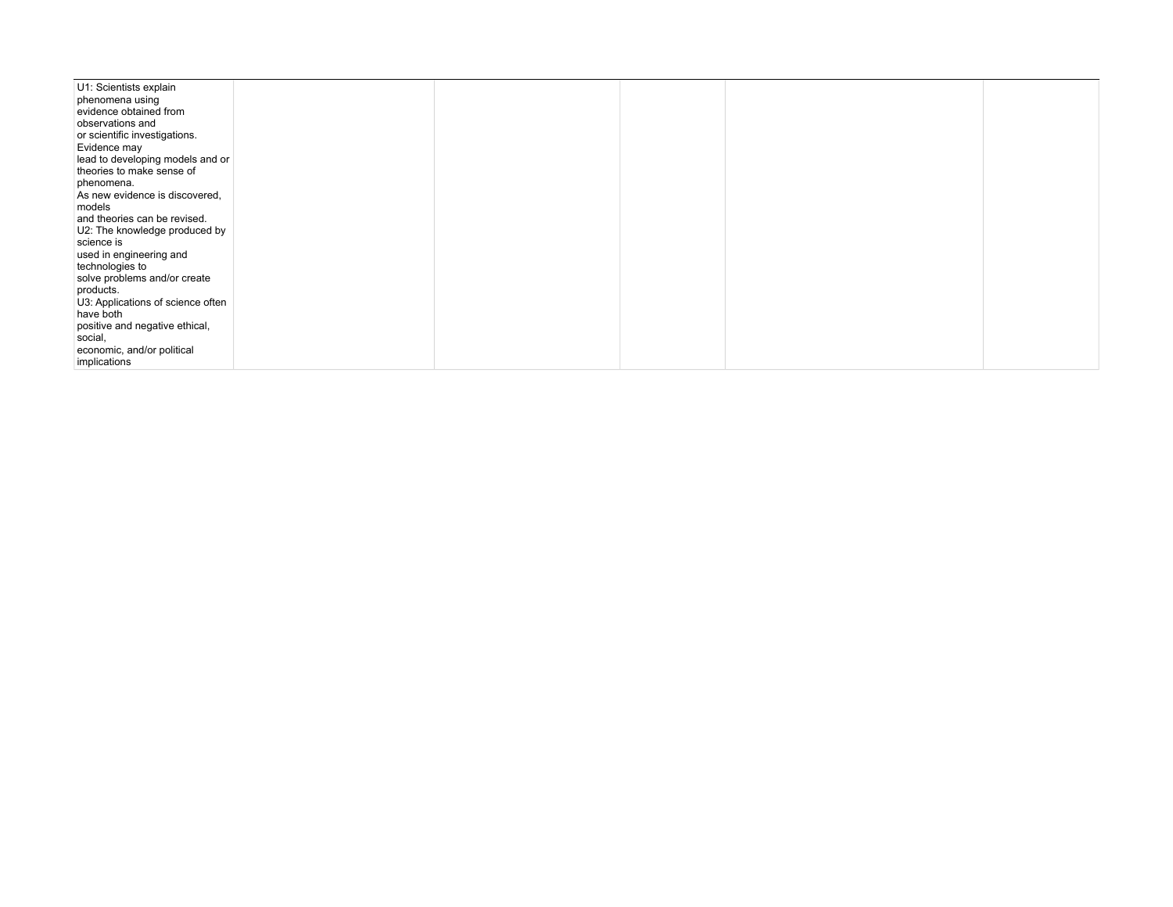| U1: Scientists explain            |  |  |  |
|-----------------------------------|--|--|--|
| phenomena using                   |  |  |  |
| evidence obtained from            |  |  |  |
| observations and                  |  |  |  |
| or scientific investigations.     |  |  |  |
| Evidence may                      |  |  |  |
| lead to developing models and or  |  |  |  |
| theories to make sense of         |  |  |  |
| phenomena.                        |  |  |  |
| As new evidence is discovered,    |  |  |  |
| models                            |  |  |  |
| and theories can be revised.      |  |  |  |
| U2: The knowledge produced by     |  |  |  |
| science is                        |  |  |  |
| used in engineering and           |  |  |  |
| technologies to                   |  |  |  |
|                                   |  |  |  |
| solve problems and/or create      |  |  |  |
| products.                         |  |  |  |
| U3: Applications of science often |  |  |  |
| have both                         |  |  |  |
| positive and negative ethical,    |  |  |  |
| social,                           |  |  |  |
| economic, and/or political        |  |  |  |
| implications                      |  |  |  |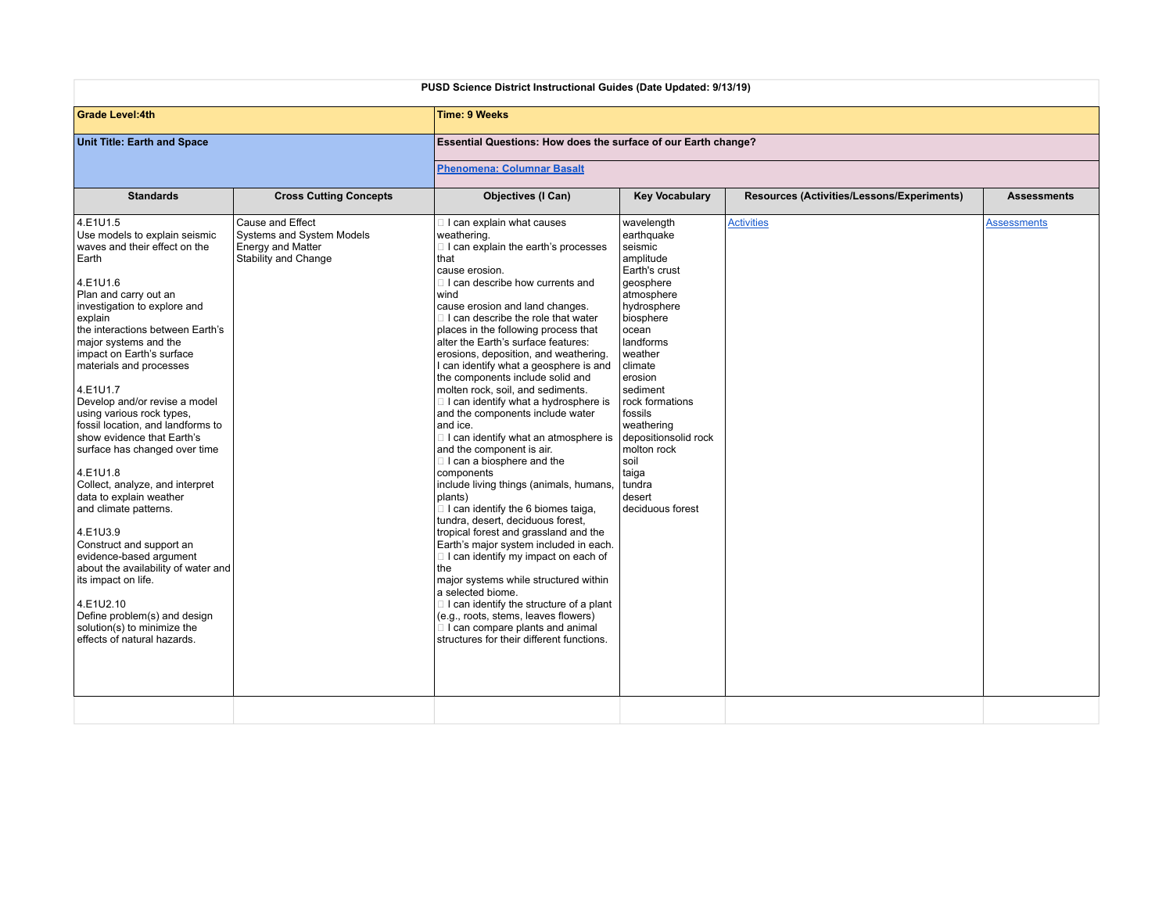| PUSD Science District Instructional Guides (Date Updated: 9/13/19)                                                                                                                                                                                                                                                                                                                                                                                                                                                                                                                                                                                                                                                                                                                                                    |                                                                                                   |                                                                                                                                                                                                                                                                                                                                                                                                                                                                                                                                                                                                                                                                                                                                                                                                                                                                                                                                                                                                                                                                                                                                                                                     |                                                                                                                                                                                                                                                                                                                                          |                                            |                    |  |
|-----------------------------------------------------------------------------------------------------------------------------------------------------------------------------------------------------------------------------------------------------------------------------------------------------------------------------------------------------------------------------------------------------------------------------------------------------------------------------------------------------------------------------------------------------------------------------------------------------------------------------------------------------------------------------------------------------------------------------------------------------------------------------------------------------------------------|---------------------------------------------------------------------------------------------------|-------------------------------------------------------------------------------------------------------------------------------------------------------------------------------------------------------------------------------------------------------------------------------------------------------------------------------------------------------------------------------------------------------------------------------------------------------------------------------------------------------------------------------------------------------------------------------------------------------------------------------------------------------------------------------------------------------------------------------------------------------------------------------------------------------------------------------------------------------------------------------------------------------------------------------------------------------------------------------------------------------------------------------------------------------------------------------------------------------------------------------------------------------------------------------------|------------------------------------------------------------------------------------------------------------------------------------------------------------------------------------------------------------------------------------------------------------------------------------------------------------------------------------------|--------------------------------------------|--------------------|--|
| <b>Grade Level:4th</b>                                                                                                                                                                                                                                                                                                                                                                                                                                                                                                                                                                                                                                                                                                                                                                                                |                                                                                                   | Time: 9 Weeks                                                                                                                                                                                                                                                                                                                                                                                                                                                                                                                                                                                                                                                                                                                                                                                                                                                                                                                                                                                                                                                                                                                                                                       |                                                                                                                                                                                                                                                                                                                                          |                                            |                    |  |
| Unit Title: Earth and Space                                                                                                                                                                                                                                                                                                                                                                                                                                                                                                                                                                                                                                                                                                                                                                                           |                                                                                                   | Essential Questions: How does the surface of our Earth change?                                                                                                                                                                                                                                                                                                                                                                                                                                                                                                                                                                                                                                                                                                                                                                                                                                                                                                                                                                                                                                                                                                                      |                                                                                                                                                                                                                                                                                                                                          |                                            |                    |  |
|                                                                                                                                                                                                                                                                                                                                                                                                                                                                                                                                                                                                                                                                                                                                                                                                                       |                                                                                                   | <b>Phenomena: Columnar Basalt</b>                                                                                                                                                                                                                                                                                                                                                                                                                                                                                                                                                                                                                                                                                                                                                                                                                                                                                                                                                                                                                                                                                                                                                   |                                                                                                                                                                                                                                                                                                                                          |                                            |                    |  |
| <b>Standards</b>                                                                                                                                                                                                                                                                                                                                                                                                                                                                                                                                                                                                                                                                                                                                                                                                      | <b>Cross Cutting Concepts</b>                                                                     | <b>Objectives (I Can)</b>                                                                                                                                                                                                                                                                                                                                                                                                                                                                                                                                                                                                                                                                                                                                                                                                                                                                                                                                                                                                                                                                                                                                                           | <b>Key Vocabulary</b>                                                                                                                                                                                                                                                                                                                    | Resources (Activities/Lessons/Experiments) | <b>Assessments</b> |  |
| 4.E1U1.5<br>Use models to explain seismic<br>waves and their effect on the<br>Earth<br>4.E1U1.6<br>Plan and carry out an<br>investigation to explore and<br>explain<br>the interactions between Earth's<br>major systems and the<br>impact on Earth's surface<br>materials and processes<br>4.E1U1.7<br>Develop and/or revise a model<br>using various rock types,<br>fossil location, and landforms to<br>show evidence that Earth's<br>surface has changed over time<br>4.E1U1.8<br>Collect, analyze, and interpret<br>data to explain weather<br>and climate patterns.<br>4.E1U3.9<br>Construct and support an<br>evidence-based argument<br>about the availability of water and<br>its impact on life.<br>4.E1U2.10<br>Define problem(s) and design<br>solution(s) to minimize the<br>effects of natural hazards. | Cause and Effect<br>Systems and System Models<br><b>Energy and Matter</b><br>Stability and Change | I can explain what causes<br>weathering.<br>I can explain the earth's processes<br>that<br>cause erosion.<br>I can describe how currents and<br>wind<br>cause erosion and land changes.<br>I can describe the role that water<br>places in the following process that<br>alter the Earth's surface features:<br>erosions, deposition, and weathering.<br>I can identify what a geosphere is and<br>the components include solid and<br>molten rock, soil, and sediments.<br>I can identify what a hydrosphere is<br>and the components include water<br>and ice.<br>I can identify what an atmosphere is<br>and the component is air.<br>I can a biosphere and the<br>components<br>include living things (animals, humans,<br>plants)<br>I can identify the 6 biomes taiga,<br>tundra, desert, deciduous forest,<br>tropical forest and grassland and the<br>Earth's major system included in each.<br>I can identify my impact on each of<br>the<br>major systems while structured within<br>a selected biome.<br>I can identify the structure of a plant<br>(e.g., roots, stems, leaves flowers)<br>I can compare plants and animal<br>structures for their different functions. | wavelength<br>earthquake<br>seismic<br>amplitude<br>Earth's crust<br>qeosphere<br>atmosphere<br>hydrosphere<br>biosphere<br>ocean<br>landforms<br>weather<br>climate<br>erosion<br>sediment<br>rock formations<br>fossils<br>weathering<br>depositionsolid rock<br>molton rock<br>soil<br>taiga<br>Itundra<br>desert<br>deciduous forest | <b>Activities</b>                          | <b>Assessments</b> |  |
|                                                                                                                                                                                                                                                                                                                                                                                                                                                                                                                                                                                                                                                                                                                                                                                                                       |                                                                                                   |                                                                                                                                                                                                                                                                                                                                                                                                                                                                                                                                                                                                                                                                                                                                                                                                                                                                                                                                                                                                                                                                                                                                                                                     |                                                                                                                                                                                                                                                                                                                                          |                                            |                    |  |